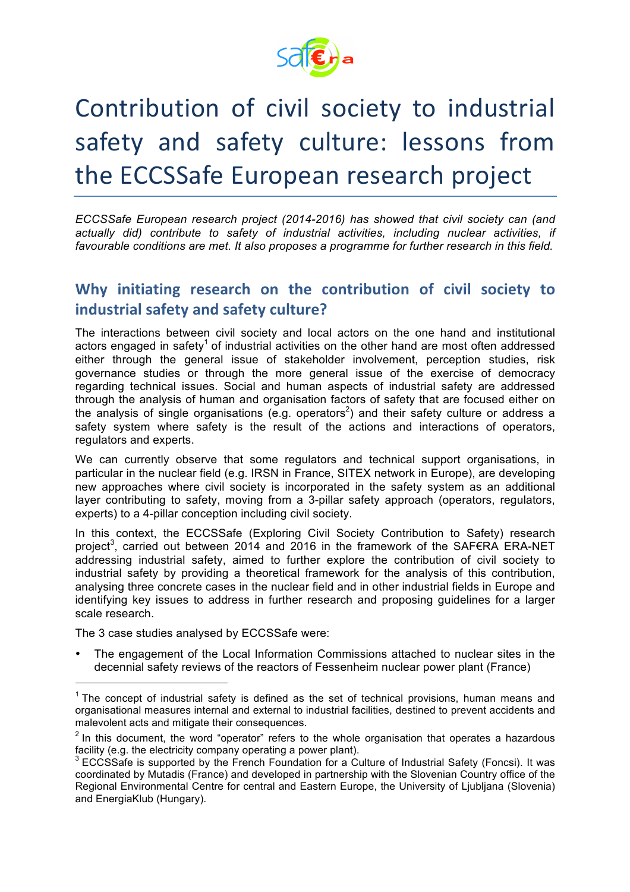

# Contribution of civil society to industrial safety and safety culture: lessons from the ECCSSafe European research project

*ECCSSafe European research project (2014-2016) has showed that civil society can (and actually did) contribute to safety of industrial activities, including nuclear activities, if favourable conditions are met. It also proposes a programme for further research in this field.*

# Why initiating research on the contribution of civil society to **industrial safety and safety culture?**

The interactions between civil society and local actors on the one hand and institutional actors engaged in safety<sup>1</sup> of industrial activities on the other hand are most often addressed either through the general issue of stakeholder involvement, perception studies, risk governance studies or through the more general issue of the exercise of democracy regarding technical issues. Social and human aspects of industrial safety are addressed through the analysis of human and organisation factors of safety that are focused either on the analysis of single organisations (e.g. operators<sup>2</sup>) and their safety culture or address a safety system where safety is the result of the actions and interactions of operators, regulators and experts.

We can currently observe that some regulators and technical support organisations, in particular in the nuclear field (e.g. IRSN in France, SITEX network in Europe), are developing new approaches where civil society is incorporated in the safety system as an additional layer contributing to safety, moving from a 3-pillar safety approach (operators, regulators, experts) to a 4-pillar conception including civil society.

In this context, the ECCSSafe (Exploring Civil Society Contribution to Safety) research project<sup>3</sup>, carried out between 2014 and 2016 in the framework of the SAF€RA ERA-NET addressing industrial safety, aimed to further explore the contribution of civil society to industrial safety by providing a theoretical framework for the analysis of this contribution, analysing three concrete cases in the nuclear field and in other industrial fields in Europe and identifying key issues to address in further research and proposing guidelines for a larger scale research.

The 3 case studies analysed by ECCSSafe were:

• The engagement of the Local Information Commissions attached to nuclear sites in the decennial safety reviews of the reactors of Fessenheim nuclear power plant (France)

 $<sup>1</sup>$  The concept of industrial safety is defined as the set of technical provisions, human means and</sup> organisational measures internal and external to industrial facilities, destined to prevent accidents and malevolent acts and mitigate their consequences.

 $2$  In this document, the word "operator" refers to the whole organisation that operates a hazardous facility (e.g. the electricity company operating a power plant).

 $3$  ECCSSafe is supported by the French Foundation for a Culture of Industrial Safety (Foncsi). It was coordinated by Mutadis (France) and developed in partnership with the Slovenian Country office of the Regional Environmental Centre for central and Eastern Europe, the University of Ljubljana (Slovenia) and EnergiaKlub (Hungary).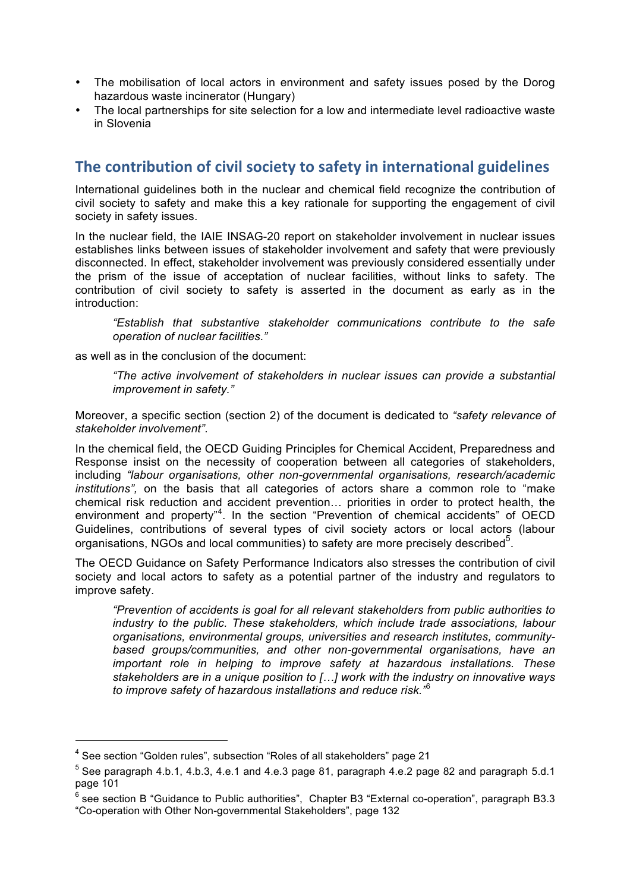- The mobilisation of local actors in environment and safety issues posed by the Dorog hazardous waste incinerator (Hungary)
- The local partnerships for site selection for a low and intermediate level radioactive waste in Slovenia

### **The contribution of civil society to safety in international guidelines**

International guidelines both in the nuclear and chemical field recognize the contribution of civil society to safety and make this a key rationale for supporting the engagement of civil society in safety issues.

In the nuclear field, the IAIE INSAG-20 report on stakeholder involvement in nuclear issues establishes links between issues of stakeholder involvement and safety that were previously disconnected. In effect, stakeholder involvement was previously considered essentially under the prism of the issue of acceptation of nuclear facilities, without links to safety. The contribution of civil society to safety is asserted in the document as early as in the introduction:

*"Establish that substantive stakeholder communications contribute to the safe operation of nuclear facilities."*

as well as in the conclusion of the document:

*"The active involvement of stakeholders in nuclear issues can provide a substantial improvement in safety."*

Moreover, a specific section (section 2) of the document is dedicated to *"safety relevance of stakeholder involvement"*.

In the chemical field, the OECD Guiding Principles for Chemical Accident, Preparedness and Response insist on the necessity of cooperation between all categories of stakeholders, including *"labour organisations, other non-governmental organisations, research/academic institutions",* on the basis that all categories of actors share a common role to "make chemical risk reduction and accident prevention… priorities in order to protect health, the environment and property<sup>"4</sup>. In the section "Prevention of chemical accidents" of OECD Guidelines, contributions of several types of civil society actors or local actors (labour organisations, NGOs and local communities) to safety are more precisely described $5$ .

The OECD Guidance on Safety Performance Indicators also stresses the contribution of civil society and local actors to safety as a potential partner of the industry and regulators to improve safety.

*"Prevention of accidents is goal for all relevant stakeholders from public authorities to industry to the public. These stakeholders, which include trade associations, labour organisations, environmental groups, universities and research institutes, communitybased groups/communities, and other non-governmental organisations, have an important role in helping to improve safety at hazardous installations. These stakeholders are in a unique position to […] work with the industry on innovative ways to improve safety of hazardous installations and reduce risk."*<sup>6</sup>

 $4$  See section "Golden rules", subsection "Roles of all stakeholders" page 21

 $5$  See paragraph 4.b.1, 4.b.3, 4.e.1 and 4.e.3 page 81, paragraph 4.e.2 page 82 and paragraph 5.d.1 page 101

<sup>&</sup>lt;sup>6</sup> see section B "Guidance to Public authorities", Chapter B3 "External co-operation", paragraph B3.3 "Co-operation with Other Non-governmental Stakeholders", page 132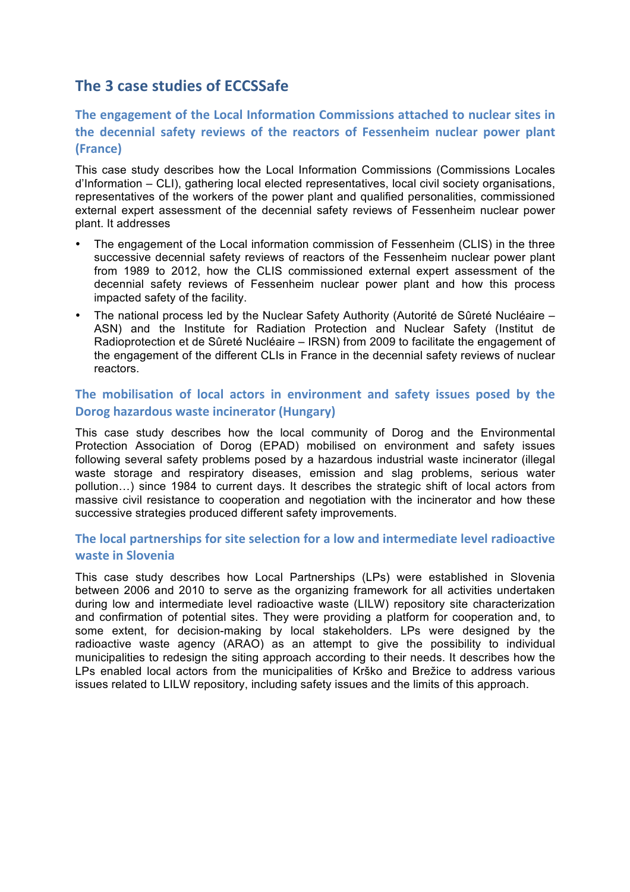## **The 3 case studies of ECCSSafe**

### **The engagement of the Local Information Commissions attached to nuclear sites in** the decennial safety reviews of the reactors of Fessenheim nuclear power plant **(France)**

This case study describes how the Local Information Commissions (Commissions Locales d'Information – CLI), gathering local elected representatives, local civil society organisations, representatives of the workers of the power plant and qualified personalities, commissioned external expert assessment of the decennial safety reviews of Fessenheim nuclear power plant. It addresses

- The engagement of the Local information commission of Fessenheim (CLIS) in the three successive decennial safety reviews of reactors of the Fessenheim nuclear power plant from 1989 to 2012, how the CLIS commissioned external expert assessment of the decennial safety reviews of Fessenheim nuclear power plant and how this process impacted safety of the facility.
- The national process led by the Nuclear Safety Authority (Autorité de Sûreté Nucléaire ASN) and the Institute for Radiation Protection and Nuclear Safety (Institut de Radioprotection et de Sûreté Nucléaire – IRSN) from 2009 to facilitate the engagement of the engagement of the different CLIs in France in the decennial safety reviews of nuclear reactors.

### The mobilisation of local actors in environment and safety issues posed by the **Dorog hazardous waste incinerator (Hungary)**

This case study describes how the local community of Dorog and the Environmental Protection Association of Dorog (EPAD) mobilised on environment and safety issues following several safety problems posed by a hazardous industrial waste incinerator (illegal waste storage and respiratory diseases, emission and slag problems, serious water pollution…) since 1984 to current days. It describes the strategic shift of local actors from massive civil resistance to cooperation and negotiation with the incinerator and how these successive strategies produced different safety improvements.

### The local partnerships for site selection for a low and intermediate level radioactive **waste in Slovenia**

This case study describes how Local Partnerships (LPs) were established in Slovenia between 2006 and 2010 to serve as the organizing framework for all activities undertaken during low and intermediate level radioactive waste (LILW) repository site characterization and confirmation of potential sites. They were providing a platform for cooperation and, to some extent, for decision-making by local stakeholders. LPs were designed by the radioactive waste agency (ARAO) as an attempt to give the possibility to individual municipalities to redesign the siting approach according to their needs. It describes how the LPs enabled local actors from the municipalities of Krško and Brežice to address various issues related to LILW repository, including safety issues and the limits of this approach.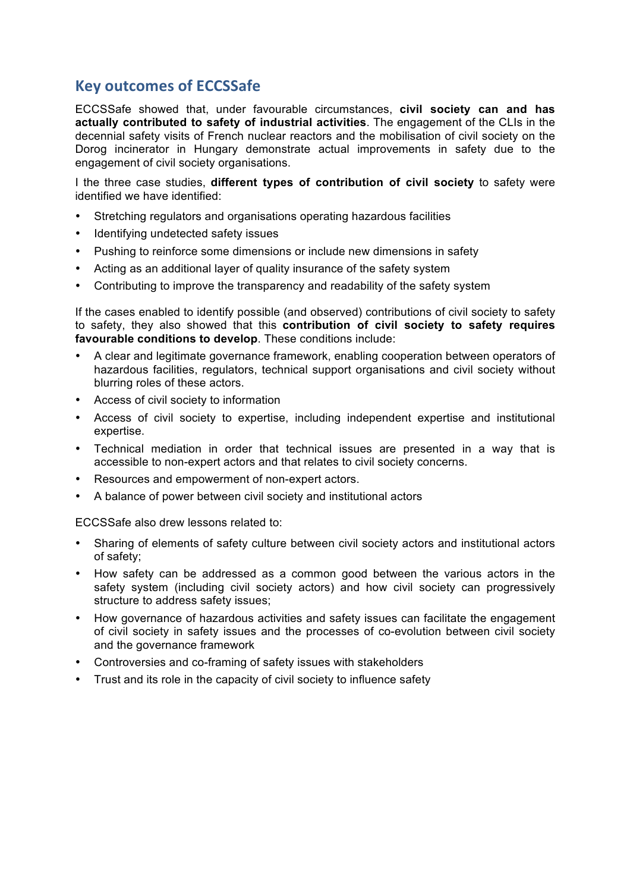### **Key outcomes of ECCSSafe**

ECCSSafe showed that, under favourable circumstances, **civil society can and has actually contributed to safety of industrial activities**. The engagement of the CLIs in the decennial safety visits of French nuclear reactors and the mobilisation of civil society on the Dorog incinerator in Hungary demonstrate actual improvements in safety due to the engagement of civil society organisations.

I the three case studies, **different types of contribution of civil society** to safety were identified we have identified:

- Stretching regulators and organisations operating hazardous facilities
- Identifying undetected safety issues
- Pushing to reinforce some dimensions or include new dimensions in safety
- Acting as an additional layer of quality insurance of the safety system
- Contributing to improve the transparency and readability of the safety system

If the cases enabled to identify possible (and observed) contributions of civil society to safety to safety, they also showed that this **contribution of civil society to safety requires favourable conditions to develop**. These conditions include:

- A clear and legitimate governance framework, enabling cooperation between operators of hazardous facilities, regulators, technical support organisations and civil society without blurring roles of these actors.
- Access of civil society to information
- Access of civil society to expertise, including independent expertise and institutional expertise.
- Technical mediation in order that technical issues are presented in a way that is accessible to non-expert actors and that relates to civil society concerns.
- Resources and empowerment of non-expert actors.
- A balance of power between civil society and institutional actors

ECCSSafe also drew lessons related to:

- Sharing of elements of safety culture between civil society actors and institutional actors of safety;
- How safety can be addressed as a common good between the various actors in the safety system (including civil society actors) and how civil society can progressively structure to address safety issues;
- How governance of hazardous activities and safety issues can facilitate the engagement of civil society in safety issues and the processes of co-evolution between civil society and the governance framework
- Controversies and co-framing of safety issues with stakeholders
- Trust and its role in the capacity of civil society to influence safety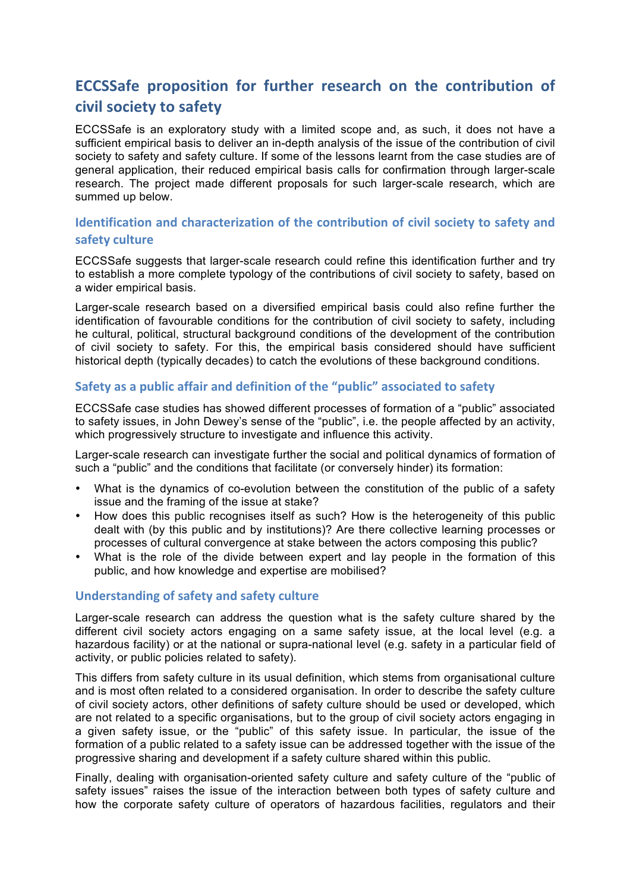# **ECCSSafe proposition for further research on the contribution of civil society to safety**

ECCSSafe is an exploratory study with a limited scope and, as such, it does not have a sufficient empirical basis to deliver an in-depth analysis of the issue of the contribution of civil society to safety and safety culture. If some of the lessons learnt from the case studies are of general application, their reduced empirical basis calls for confirmation through larger-scale research. The project made different proposals for such larger-scale research, which are summed up below.

### **Identification and characterization of the contribution of civil society to safety and safety culture**

ECCSSafe suggests that larger-scale research could refine this identification further and try to establish a more complete typology of the contributions of civil society to safety, based on a wider empirical basis.

Larger-scale research based on a diversified empirical basis could also refine further the identification of favourable conditions for the contribution of civil society to safety, including he cultural, political, structural background conditions of the development of the contribution of civil society to safety. For this, the empirical basis considered should have sufficient historical depth (typically decades) to catch the evolutions of these background conditions.

### Safety as a public affair and definition of the "public" associated to safety

ECCSSafe case studies has showed different processes of formation of a "public" associated to safety issues, in John Dewey's sense of the "public", i.e. the people affected by an activity, which progressively structure to investigate and influence this activity.

Larger-scale research can investigate further the social and political dynamics of formation of such a "public" and the conditions that facilitate (or conversely hinder) its formation:

- What is the dynamics of co-evolution between the constitution of the public of a safety issue and the framing of the issue at stake?
- How does this public recognises itself as such? How is the heterogeneity of this public dealt with (by this public and by institutions)? Are there collective learning processes or processes of cultural convergence at stake between the actors composing this public?
- What is the role of the divide between expert and lay people in the formation of this public, and how knowledge and expertise are mobilised?

#### **Understanding of safety and safety culture**

Larger-scale research can address the question what is the safety culture shared by the different civil society actors engaging on a same safety issue, at the local level (e.g. a hazardous facility) or at the national or supra-national level (e.g. safety in a particular field of activity, or public policies related to safety).

This differs from safety culture in its usual definition, which stems from organisational culture and is most often related to a considered organisation. In order to describe the safety culture of civil society actors, other definitions of safety culture should be used or developed, which are not related to a specific organisations, but to the group of civil society actors engaging in a given safety issue, or the "public" of this safety issue. In particular, the issue of the formation of a public related to a safety issue can be addressed together with the issue of the progressive sharing and development if a safety culture shared within this public.

Finally, dealing with organisation-oriented safety culture and safety culture of the "public of safety issues" raises the issue of the interaction between both types of safety culture and how the corporate safety culture of operators of hazardous facilities, regulators and their